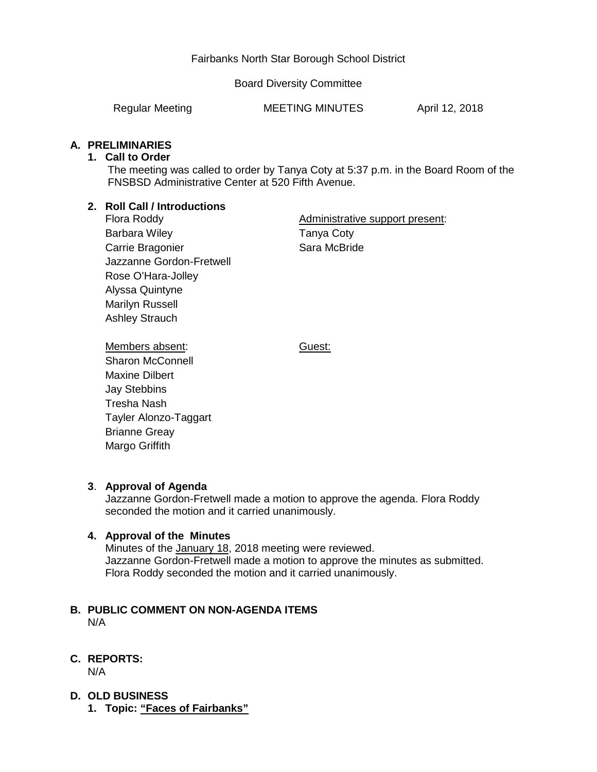# Fairbanks North Star Borough School District

Board Diversity Committee

Regular Meeting **MEETING MINUTES** April 12, 2018

# **A. PRELIMINARIES**

## **1. Call to Order**

The meeting was called to order by Tanya Coty at 5:37 p.m. in the Board Room of the FNSBSD Administrative Center at 520 Fifth Avenue.

# **2. Roll Call / Introductions**

Flora Roddy Barbara Wiley Carrie Bragonier Jazzanne Gordon-Fretwell Rose O'Hara-Jolley Alyssa Quintyne Marilyn Russell Ashley Strauch

Administrative support present: Tanya Coty Sara McBride

Guest:

Members absent: Sharon McConnell Maxine Dilbert Jay Stebbins Tresha Nash Tayler Alonzo-Taggart Brianne Greay Margo Griffith

# **3**. **Approval of Agenda**

Jazzanne Gordon-Fretwell made a motion to approve the agenda. Flora Roddy seconded the motion and it carried unanimously.

# **4. Approval of the Minutes**

Minutes of the January 18, 2018 meeting were reviewed. Jazzanne Gordon-Fretwell made a motion to approve the minutes as submitted. Flora Roddy seconded the motion and it carried unanimously.

#### **B. PUBLIC COMMENT ON NON-AGENDA ITEMS** N/A

# **C. REPORTS:**

N/A

- **D. OLD BUSINESS**
	- **1. Topic: "Faces of Fairbanks"**